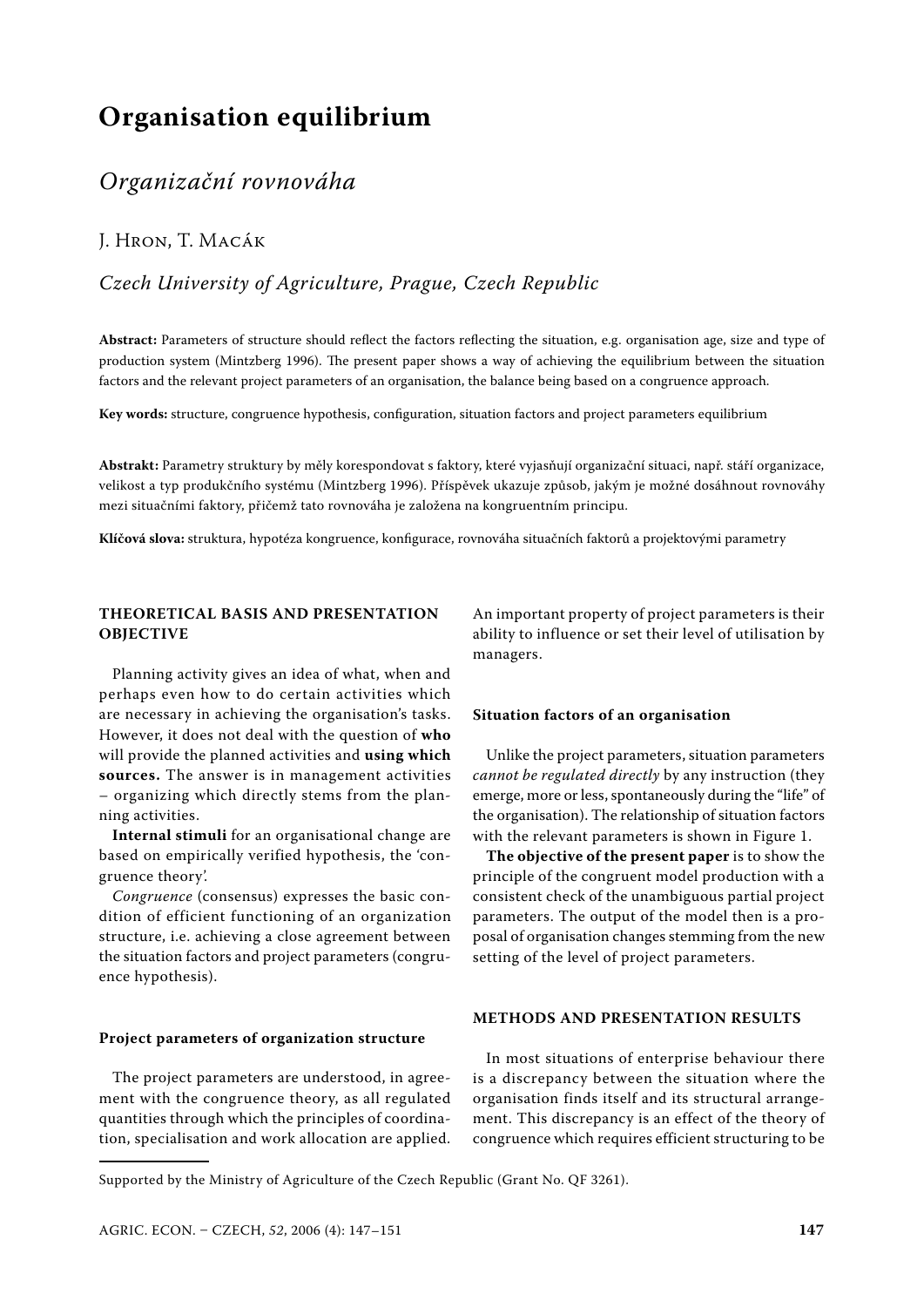# **Organisation equilibrium**

## *Organizační rovnováha*

## J. HRON, T. MACÁK

## *Czech University of Agriculture, Prague, Czech Republic*

**Abstract:** Parameters of structure should reflect the factors reflecting the situation, e.g. organisation age, size and type of production system (Mintzberg 1996). The present paper shows a way of achieving the equilibrium between the situation factors and the relevant project parameters of an organisation, the balance being based on a congruence approach.

**Key words:** structure, congruence hypothesis, configuration, situation factors and project parameters equilibrium

**Abstrakt:** Parametry struktury by měly korespondovat s faktory, které vyjasňují organizační situaci, např. stáří organizace, velikost a typ produkčního systému (Mintzberg 1996). Příspěvek ukazuje způsob, jakým je možné dosáhnout rovnováhy mezi situačními faktory, přičemž tato rovnováha je založena na kongruentním principu.

**Klíčová slova:** struktura, hypotéza kongruence, konfigurace, rovnováha situačních faktorů a projektovými parametry

## **THEORETICAL BASIS AND PRESENTATION OBJECTIVE**

Planning activity gives an idea of what, when and perhaps even how to do certain activities which are necessary in achieving the organisation's tasks. However, it does not deal with the question of **who**  will provide the planned activities and **using which sources.** The answer is in management activities – organizing which directly stems from the planning activities.

**Internal stimuli** for an organisational change are based on empirically verified hypothesis, the 'congruence theory'.

*Congruence* (consensus) expresses the basic condition of efficient functioning of an organization structure, i.e. achieving a close agreement between the situation factors and project parameters (congruence hypothesis).

#### **Project parameters of organization structure**

The project parameters are understood, in agreement with the congruence theory, as all regulated quantities through which the principles of coordination, specialisation and work allocation are applied. An important property of project parameters is their ability to influence or set their level of utilisation by managers.

#### **Situation factors of an organisation**

Unlike the project parameters, situation parameters *cannot be regulated directly* by any instruction (they emerge, more or less, spontaneously during the "life" of the organisation). The relationship of situation factors with the relevant parameters is shown in Figure 1.

**The objective of the present paper** is to show the principle of the congruent model production with a consistent check of the unambiguous partial project parameters. The output of the model then is a proposal of organisation changes stemming from the new setting of the level of project parameters.

## **METHODS AND PRESENTATION RESULTS**

In most situations of enterprise behaviour there is a discrepancy between the situation where the organisation finds itself and its structural arrangement. This discrepancy is an effect of the theory of congruence which requires efficient structuring to be

Supported by the Ministry of Agriculture of the Czech Republic (Grant No. QF 3261).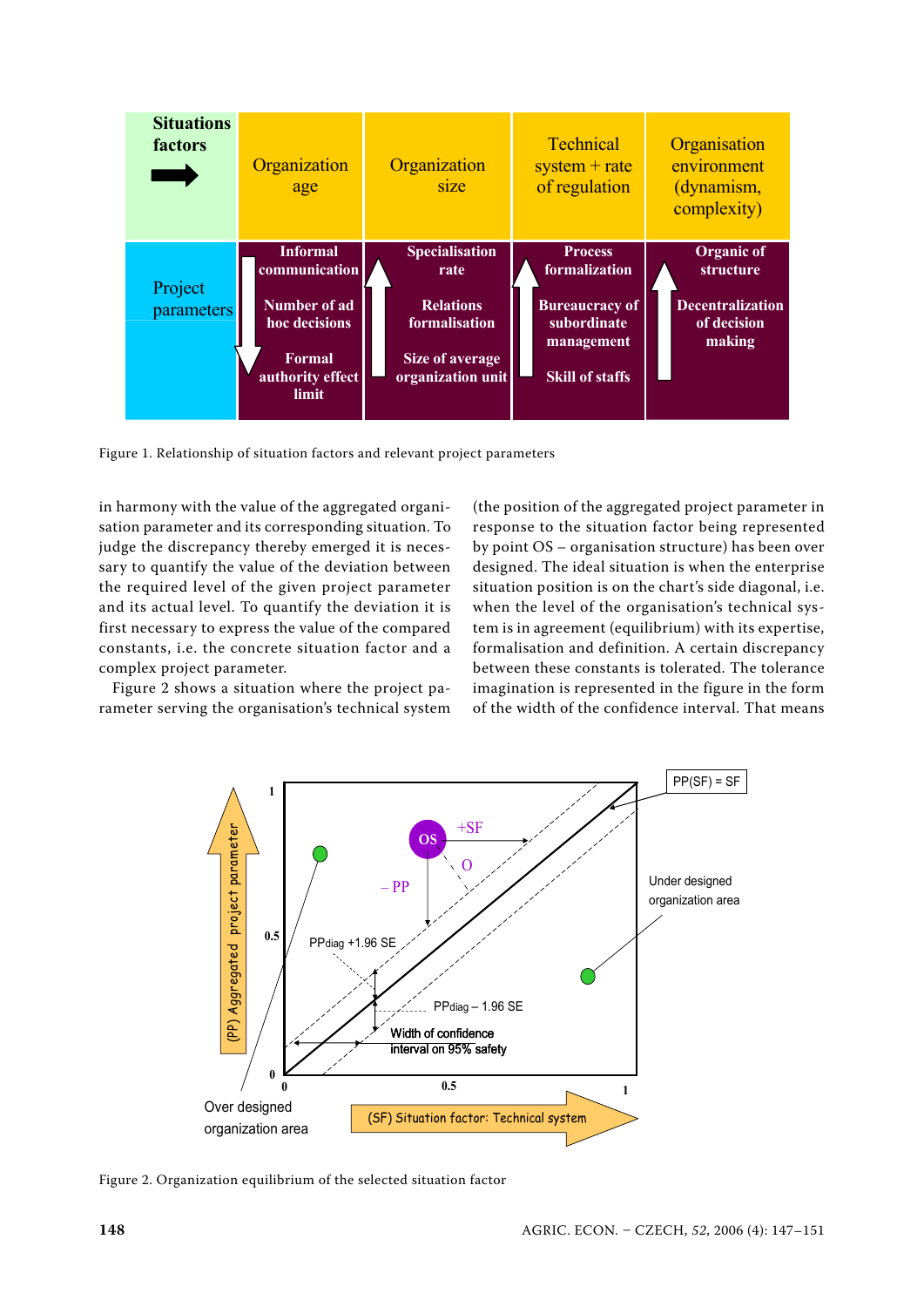

Figure 1. Relationship of situation factors and relevant project parameters

in harmony with the value of the aggregated organisation parameter and its corresponding situation. To judge the discrepancy thereby emerged it is necessary to quantify the value of the deviation between the required level of the given project parameter and its actual level. To quantify the deviation it is first necessary to express the value of the compared constants, i.e. the concrete situation factor and a complex project parameter.

Figure 2 shows a situation where the project parameter serving the organisation's technical system

(the position of the aggregated project parameter in response to the situation factor being represented by point OS – organisation structure) has been over designed. The ideal situation is when the enterprise situation position is on the chart's side diagonal, i.e. when the level of the organisation's technical system is in agreement (equilibrium) with its expertise, formalisation and definition. A certain discrepancy between these constants is tolerated. The tolerance imagination is represented in the figure in the form of the width of the confidence interval. That means



Figure 2. Organization equilibrium of the selected situation factor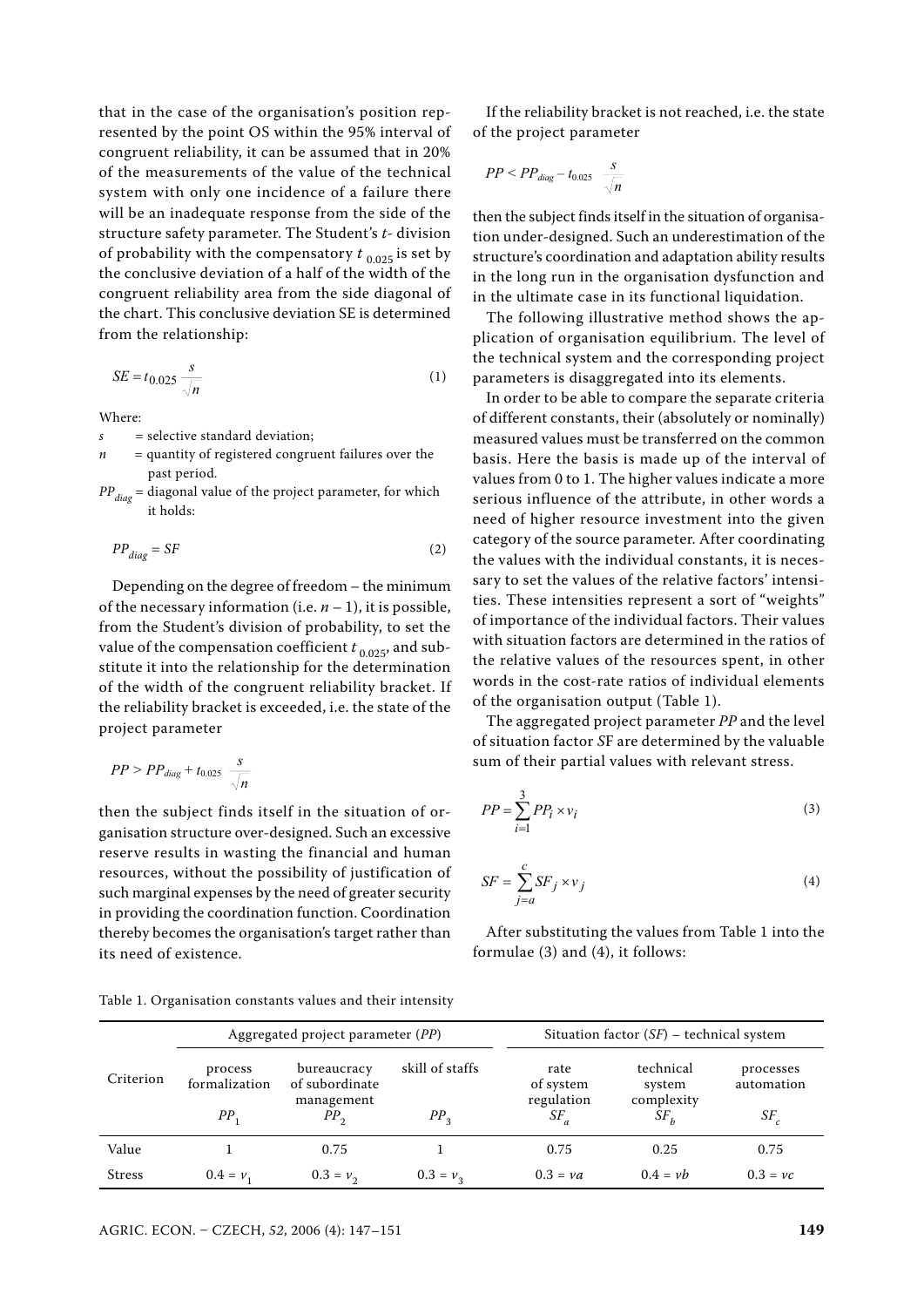that in the case of the organisation's position represented by the point OS within the 95% interval of congruent reliability, it can be assumed that in 20% of the measurements of the value of the technical system with only one incidence of a failure there will be an inadequate response from the side of the structure safety parameter. The Student's *t-* division of probability with the compensatory  $t_{0.025}$  is set by the conclusive deviation of a half of the width of the congruent reliability area from the side diagonal of the chart. This conclusive deviation SE is determined from the relationship:

$$
SE = t_{0.025} \frac{s}{\sqrt{n}} \tag{1}
$$

Where:

*s* = selective standard deviation;

- $n =$  quantity of registered congruent failures over the past period.
- *PP<sub>diag</sub>* = diagonal value of the project parameter, for which it holds:

$$
PP_{diag} = SF \tag{2}
$$

Depending on the degree of freedom – the minimum of the necessary information (i.e.  $n - 1$ ), it is possible, from the Student's division of probability, to set the value of the compensation coefficient  $t_{0.025}$ , and substitute it into the relationship for the determination of the width of the congruent reliability bracket. If the reliability bracket is exceeded, i.e. the state of the project parameter

$$
PP > PP_{diag} + t_{0.025} \frac{s}{\sqrt{n}}
$$

then the subject finds itself in the situation of organisation structure over-designed. Such an excessive reserve results in wasting the financial and human resources, without the possibility of justification of such marginal expenses by the need of greater security in providing the coordination function. Coordination thereby becomes the organisation's target rather than its need of existence.

If the reliability bracket is not reached, i.e. the state of the project parameter

$$
PP < PP_{diag} - t_{0.025} \frac{s}{\sqrt{n}}
$$

then the subject finds itself in the situation of organisation under-designed. Such an underestimation of the structure's coordination and adaptation ability results in the long run in the organisation dysfunction and in the ultimate case in its functional liquidation.

The following illustrative method shows the application of organisation equilibrium. The level of the technical system and the corresponding project parameters is disaggregated into its elements.

In order to be able to compare the separate criteria of different constants, their (absolutely or nominally) measured values must be transferred on the common basis. Here the basis is made up of the interval of values from 0 to 1. The higher values indicate a more serious influence of the attribute, in other words a need of higher resource investment into the given category of the source parameter. After coordinating the values with the individual constants, it is necessary to set the values of the relative factors' intensities. These intensities represent a sort of "weights" of importance of the individual factors. Their values with situation factors are determined in the ratios of the relative values of the resources spent, in other words in the cost-rate ratios of individual elements of the organisation output (Table 1).

The aggregated project parameter *PP* and the level of situation factor *S*F are determined by the valuable sum of their partial values with relevant stress.

$$
PP = \sum_{i=1}^{3} PP_i \times v_i \tag{3}
$$

$$
SF = \sum_{j=a}^{c} SF_j \times v_j \tag{4}
$$

After substituting the values from Table 1 into the formulae (3) and (4), it follows:

| Criterion     | Aggregated project parameter (PP) |                                             |                 | Situation factor $(SF)$ – technical system |                                   |                         |
|---------------|-----------------------------------|---------------------------------------------|-----------------|--------------------------------------------|-----------------------------------|-------------------------|
|               | process<br>formalization          | bureaucracy<br>of subordinate<br>management | skill of staffs | rate<br>of system<br>regulation            | technical<br>system<br>complexity | processes<br>automation |
|               | $PP_{1}$                          | $PP_{\alpha}$                               | $PP_{3}$        | SF                                         | $SF_h$                            | $SF_c$                  |
| Value         |                                   | 0.75                                        |                 | 0.75                                       | 0.25                              | 0.75                    |
| <b>Stress</b> | $0.4 = \nu$ ,                     | $0.3 = v_0$                                 | $0.3 = v_2$     | $0.3 = va$                                 | $0.4 = v h$                       | $0.3 = \nu c$           |

Table 1. Organisation constants values and their intensity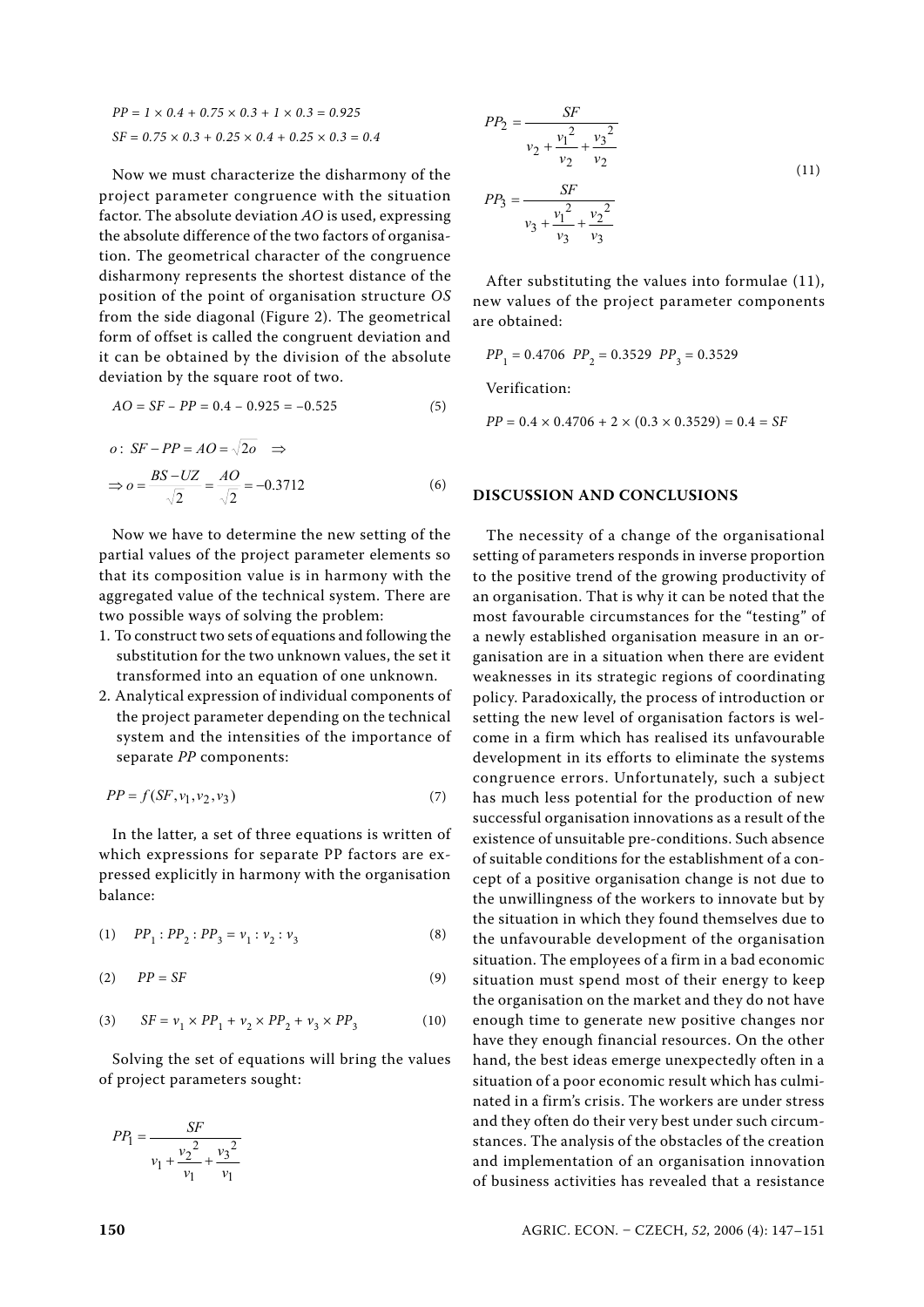$$
PP = 1 \times 0.4 + 0.75 \times 0.3 + 1 \times 0.3 = 0.925
$$
  
SF = 0.75 × 0.3 + 0.25 × 0.4 + 0.25 × 0.3 = 0.4

Now we must characterize the disharmony of the project parameter congruence with the situation factor. The absolute deviation *AO* is used, expressing the absolute difference of the two factors of organisation. The geometrical character of the congruence disharmony represents the shortest distance of the position of the point of organisation structure *OS* from the side diagonal (Figure 2). The geometrical form of offset is called the congruent deviation and it can be obtained by the division of the absolute deviation by the square root of two.

$$
AO = SF - PP = 0.4 - 0.925 = -0.525 \tag{5}
$$

*o*: *SF* − *PP* = *AO* = 
$$
\sqrt{2o}
$$
 ⇒  
\n⇒  $o = \frac{BS - UZ}{\sqrt{2}} = \frac{AO}{\sqrt{2}} = -0.3712$  (6)

Now we have to determine the new setting of the partial values of the project parameter elements so that its composition value is in harmony with the aggregated value of the technical system. There are two possible ways of solving the problem:

- 1. To construct two sets of equations and following the substitution for the two unknown values, the set it transformed into an equation of one unknown.
- 2. Analytical expression of individual components of the project parameter depending on the technical system and the intensities of the importance of separate *PP* components:

$$
PP = f(SF, v_1, v_2, v_3)
$$
\n<sup>(7)</sup>

In the latter, a set of three equations is written of which expressions for separate PP factors are expressed explicitly in harmony with the organisation balance:

(1) 
$$
PP_1 : PP_2 : PP_3 = v_1 : v_2 : v_3
$$
 (8)

$$
(2) \tPP = SF \t(9)
$$

(3) 
$$
SF = v_1 \times PP_1 + v_2 \times PP_2 + v_3 \times PP_3
$$
 (10)

Solving the set of equations will bring the values of project parameters sought:

$$
PP_1 = \frac{SF}{v_1 + \frac{v_2^2}{v_1} + \frac{v_3^2}{v_1}}
$$

$$
PP_2 = \frac{SF}{v_2 + \frac{v_1^2}{v_2} + \frac{v_3^2}{v_2}}
$$
  
\n
$$
PP_3 = \frac{SF}{v_3 + \frac{v_1^2}{v_3} + \frac{v_2^2}{v_3}}
$$
\n(11)

After substituting the values into formulae (11), new values of the project parameter components are obtained:

$$
PP_1 = 0.4706 \ PP_2 = 0.3529 \ PP_3 = 0.3529
$$

Verification:

$$
PP = 0.4 \times 0.4706 + 2 \times (0.3 \times 0.3529) = 0.4 = SF
$$

#### **DISCUSSION AND CONCLUSIONS**

The necessity of a change of the organisational setting of parameters responds in inverse proportion to the positive trend of the growing productivity of an organisation. That is why it can be noted that the most favourable circumstances for the "testing" of a newly established organisation measure in an organisation are in a situation when there are evident weaknesses in its strategic regions of coordinating policy. Paradoxically, the process of introduction or setting the new level of organisation factors is welcome in a firm which has realised its unfavourable development in its efforts to eliminate the systems congruence errors. Unfortunately, such a subject has much less potential for the production of new successful organisation innovations as a result of the existence of unsuitable pre-conditions. Such absence of suitable conditions for the establishment of a concept of a positive organisation change is not due to the unwillingness of the workers to innovate but by the situation in which they found themselves due to the unfavourable development of the organisation situation. The employees of a firm in a bad economic situation must spend most of their energy to keep the organisation on the market and they do not have enough time to generate new positive changes nor have they enough financial resources. On the other hand, the best ideas emerge unexpectedly often in a situation of a poor economic result which has culminated in a firm's crisis. The workers are under stress and they often do their very best under such circumstances. The analysis of the obstacles of the creation and implementation of an organisation innovation of business activities has revealed that a resistance